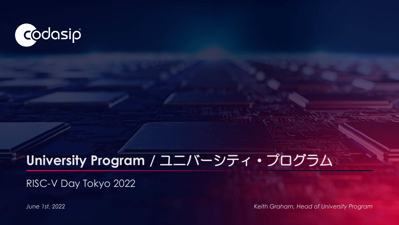

## **University Program /** ユニバーシティ・プログラム

RISC-V Day Tokyo 2022

*June 1st, 2022 Keith Graham, Head of University Program*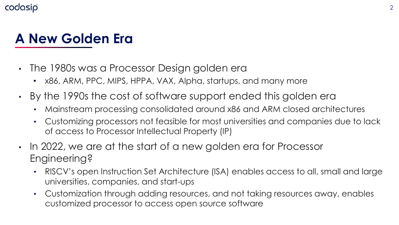### **A New Golden Era**

- The 1980s was a Processor Design golden era
	- x86, ARM, PPC, MIPS, HPPA, VAX, Alpha, startups, and many more
- By the 1990s the cost of software support ended this golden era
	- Mainstream processing consolidated around x86 and ARM closed architectures
	- Customizing processors not feasible for most universities and companies due to lack of access to Processor Intellectual Property (IP)
- In 2022, we are at the start of a new golden era for Processor Engineering?
	- RISCV's open Instruction Set Architecture (ISA) enables access to all, small and large universities, companies, and start-ups
	- Customization through adding resources, and not taking resources away, enables customized processor to access open source software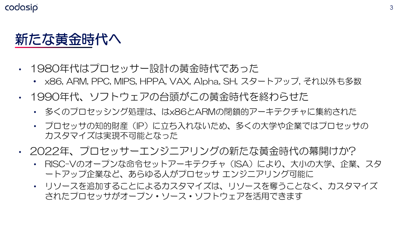

- 1980年代はプロセッサー設計の黄金時代であった
	- x86, ARM, PPC, MIPS, HPPA, VAX, Alpha, SH, スタートアップ, それ以外も多数
- 1990年代、ソフトウェアの台頭がこの黄金時代を終わらせた
	- 多くのプロセッシング処理は、はx86とARMの閉鎖的アーキテクチャに集約された
	- プロセッサの知的財産(IP)に立ち入れないため、多くの大学や企業ではプロセッサの カスタマイズは実現不可能となった
- 2022年、プロセッサーエンジニアリングの新たな黄金時代の幕開けか?
	- RISC-Vのオープンな命令セットアーキテクチャ(ISA)により、大小の大学、企業、スタ ートアップ企業など、あらゆる人がプロセッサ エンジニアリング可能に
	- リソースを追加することによるカスタマイズは、リソースを奪うことなく、カスタマイズ されたプロセッサがオープン・ソース・ソフトウェアを活用できます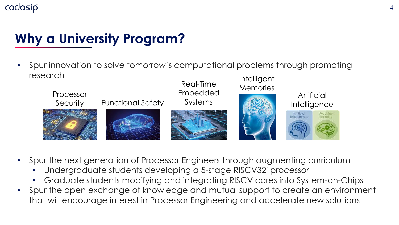## **Why a University Program?**

• Spur innovation to solve tomorrow's computational problems through promoting research Intelligent



- Spur the next generation of Processor Engineers through augmenting curriculum
	- Undergraduate students developing a 5-stage RISCV32i processor
	- Graduate students modifying and integrating RISCV cores into System-on-Chips
- Spur the open exchange of knowledge and mutual support to create an environment that will encourage interest in Processor Engineering and accelerate new solutions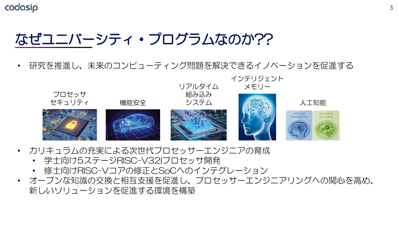### なぜユニバーシティ・プログラムなのか??

• 研究を推進し、未来のコンピューティング問題を解決できるイノベーションを促進する



- カリキュラムの充実による次世代プロセッサーエンジニアの育成
	- 学士向け5ステージRISC-V32Iプロセッサ開発
	- 修士向けRISC-Vコアの修正とSoCへのインテグレーション
- オープンな知識の交換と相互支援を促進し、プロセッサーエンジニアリングへの関心を高め、 新しいソリューションを促進する環境を構築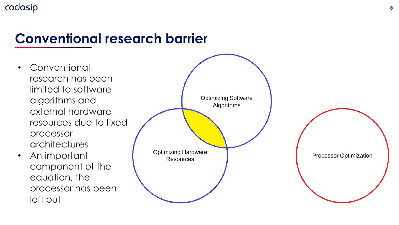### **Conventional research barrier**

- Conventional research has been limited to software algorithms and external hardware resources due to fixed processor architectures
- An important component of the equation, the processor has been left out

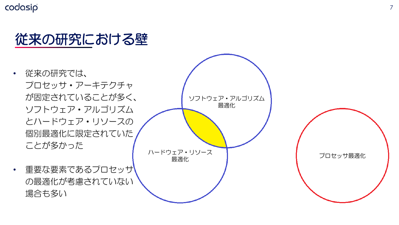### 従来の研究における壁

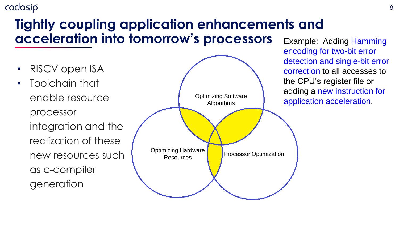### **Tightly coupling application enhancements and acceleration into tomorrow's processors**

- RISCV open ISA
- Toolchain that enable resource processor integration and the realization of these new resources such as c-compiler generation



Example: Adding Hamming encoding for two-bit error detection and single-bit error correction to all accesses to the CPU's register file or adding a new instruction for application acceleration.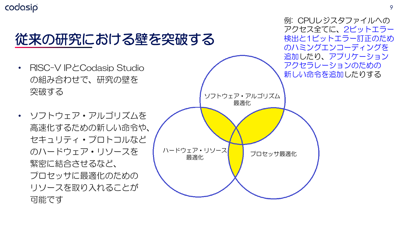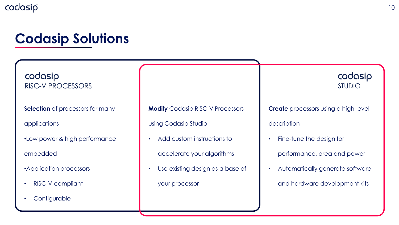### **Codasip Solutions**

codasip **RISC-V PROCESSORS** 

**Selection** of processors for many

applications

•Low power & high performance

embedded

•Application processors

- RISC-V-compliant
- Configurable

**Modify** Codasip RISC-V Processors

using Codasip Studio

• Add custom instructions to

accelerate your algorithms

Use existing design as a base of

your processor

codasip **STUDIO** 

**Create** processors using a high-level

description

• Fine-tune the design for

performance, area and power

• Automatically generate software

and hardware development kits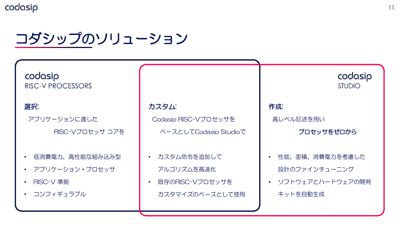コダシップのソリューション



#### 選択:

アプリケーションに適した

RISC-Vプロセッサ コアを

- 低消費電力、高性能な組み込み型
- アプリケーション・プロセッサ
- RISC-V 準拠
- コンフィギュラブル

#### カスタム:

Codasip RISC-Vプロセッサを

ベースとしてCodasip Studioで

- カスタム命令を追加して アルゴリズムを高速化
- 既存のRISC-Vプロセッサを カスタマイズのベースとして使用

作成: 高レベル記述を用い プロセッサをゼロから

codasip

**STUDIO** 

- 性能、面積、消費電力を考慮した 設計のファインチューニング
- ソフトウェアとハードウェアの開発 キットを自動生成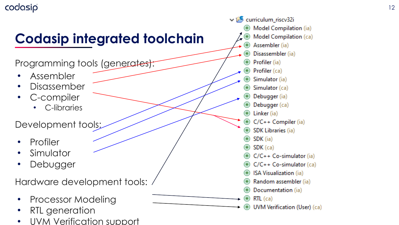# **Codasip integrated toolchain**

Programming tools (generates):

- Assembler
- Disassember
- C-compiler
	- C-libraries

Development tools;

- Profiler
- **Simulator**
- Debugger

Hardware development tools:

- Processor Modeling
- RTL generation
- UVM Verification support

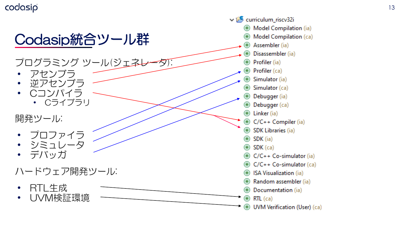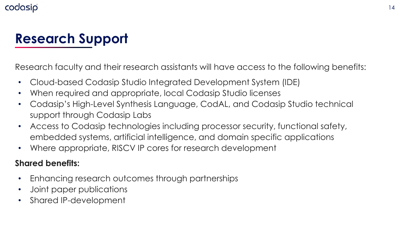### **Research Support**

Research faculty and their research assistants will have access to the following benefits:

- Cloud-based Codasip Studio Integrated Development System (IDE)
- When required and appropriate, local Codasip Studio licenses
- Codasip's High-Level Synthesis Language, CodAL, and Codasip Studio technical support through Codasip Labs
- Access to Codasip technologies including processor security, functional safety, embedded systems, artificial intelligence, and domain specific applications
- Where appropriate, RISCV IP cores for research development

#### **Shared benefits:**

- Enhancing research outcomes through partnerships
- Joint paper publications
- Shared IP-development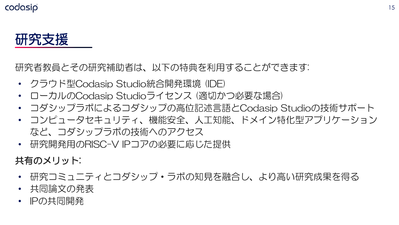研究支援

研究者教員とその研究補助者は、以下の特典を利用することができます:

- クラウド型Codasip Studio統合開発環境 (IDE)
- ローカルのCodasip Studioライセンス (適切かつ必要な場合)
- コダシップラボによるコダシップの高位記述言語とCodasip Studioの技術サポート
- コンピュータセキュリティ、機能安全、人工知能、ドメイン特化型アプリケーション など、コダシップラボの技術へのアクセス
- 研究開発用のRISC-V IPコアの必要に応じた提供

共有のメリット:

- 研究コミュニティとコダシップ・ラボの知見を融合し、より高い研究成果を得る
- 共同論文の発表
- IPの共同開発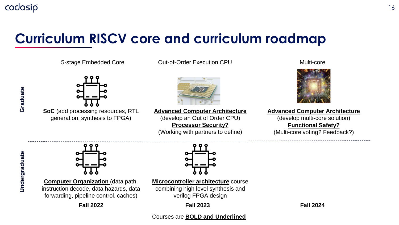### **Curriculum RISCV core and curriculum roadmap**

5-stage Embedded Core  $\overline{O}$  Out-of-Order Execution CPU Multi-core



**Advanced Computer Architecture** (develop multi-core solution)

**Functional Safety?** (Multi-core voting? Feedback?)



**SoC** (add processing resources, RTL generation, synthesis to FPGA)



**Advanced Computer Architecture** (develop an Out of Order CPU) **Processor Security?** (Working with partners to define)



**Computer Organization** (data path, instruction decode, data hazards, data forwarding, pipeline control, caches)

**Microcontroller architecture** course combining high level synthesis and verilog FPGA design

**Fall 2022 Fall 2023 Fall 2024**

#### Courses are **BOLD and Underlined**

Graduate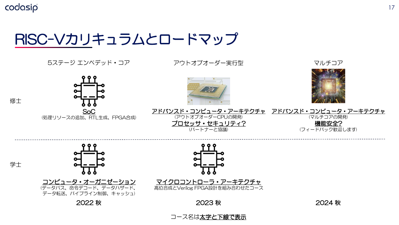## RISC-Vカリキュラムとロードマップ



#### コース名は太字と下線で表示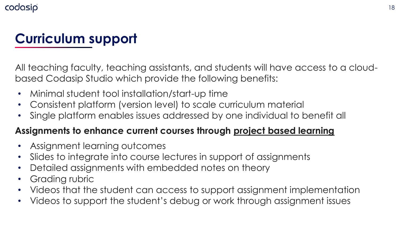### **Curriculum support**

All teaching faculty, teaching assistants, and students will have access to a cloudbased Codasip Studio which provide the following benefits:

- Minimal student tool installation/start-up time
- Consistent platform (version level) to scale curriculum material
- Single platform enables issues addressed by one individual to benefit all

### **Assignments to enhance current courses through project based learning**

- Assignment learning outcomes
- Slides to integrate into course lectures in support of assignments
- Detailed assignments with embedded notes on theory
- Grading rubric
- Videos that the student can access to support assignment implementation
- Videos to support the student's debug or work through assignment issues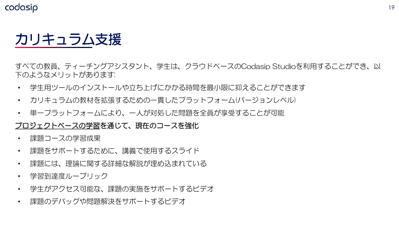## カリキュラム支援

すべての教員、ティーチングアシスタント、学生は、クラウドベースのCodasip Studioを利用することができ、以 下のようなメリットがあります:

- 学生用ツールのインストールや立ち上げにかかる時間を最小限に抑えることができます
- カリキュラムの教材を拡張するための一貫したプラットフォーム(バージョンレベル)
- 単一プラットフォームにより、一人が対処した問題を全員が享受することが可能

#### フロジェクトベースの学習を通じて、現在のコースを強化

- 課題コースの学習成果
- 課題をサポートするために、講義で使用するスライド
- 課題には、理論に関する詳細な解説が埋め込まれている
- 学習到達度ルーブリック
- 学生がアクセス可能な、課題の実施をサポートするビデオ
- 課題のデバッグや問題解決をサポートするビデオ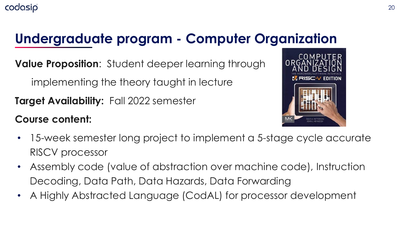### **Undergraduate program - Computer Organization**

**Value Proposition**: Student deeper learning through

implementing the theory taught in lecture

**Target Availability:** Fall 2022 semester

### **Course content:**



- 15-week semester long project to implement a 5-stage cycle accurate RISCV processor
- Assembly code (value of abstraction over machine code), Instruction Decoding, Data Path, Data Hazards, Data Forwarding
- A Highly Abstracted Language (CodAL) for processor development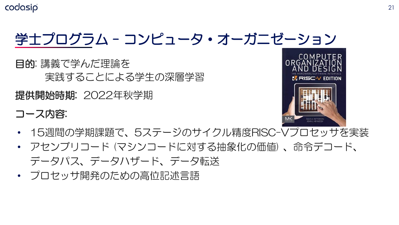# 学士プログラム - コンピュータ・オーガニゼーション

目的: 講義で学んだ理論を 実践することによる学生の深層学習

提供開始時期: 2022年秋学期

コース内容:



- 15週間の学期課題で、5ステージのサイクル精度RISC-Vプロセッサを実装
- アセンブリコード (マシンコードに対する抽象化の価値) 、命令デコード、 データパス、データハザード、データ転送
- プロセッサ開発のための高位記述言語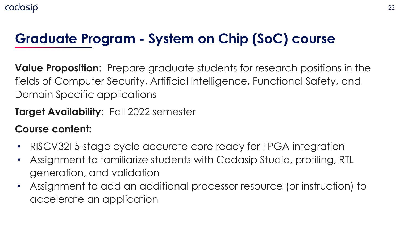### **Graduate Program - System on Chip (SoC) course**

**Value Proposition**: Prepare graduate students for research positions in the fields of Computer Security, Artificial Intelligence, Functional Safety, and Domain Specific applications

### **Target Availability:** Fall 2022 semester

### **Course content:**

- RISCV32I 5-stage cycle accurate core ready for FPGA integration
- Assignment to familiarize students with Codasip Studio, profiling, RTL generation, and validation
- Assignment to add an additional processor resource (or instruction) to accelerate an application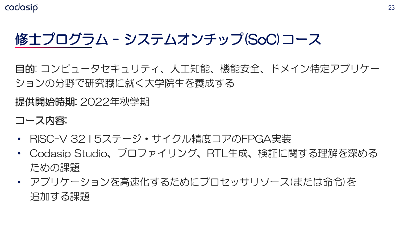# 修士プログラム - システムオンチップ(SoC)コース

目的: コンピュータセキュリティ、人工知能、機能安全、ドメイン特定アプリケー ションの分野で研究職に就く大学院生を養成する

提供開始時期: 2022年秋学期

コース内容:

- RISC-V 32 I 5ステージ・サイクル精度コアのFPGA実装
- Codasip Studio、プロファイリング、RTL生成、検証に関する理解を深める ための課題
- アプリケーションを高速化するためにプロセッサリソース(または命令)を 追加する課題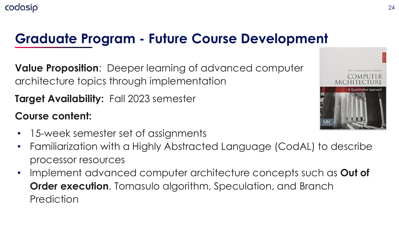### **Graduate Program - Future Course Development**

**Value Proposition**: Deeper learning of advanced computer architecture topics through implementation

**Target Availability:** Fall 2023 semester

**Course content:**

- 15-week semester set of assignments
- Familiarization with a Highly Abstracted Language (CodAL) to describe processor resources
- Implement advanced computer architecture concepts such as **Out of Order execution**, Tomasulo algorithm, Speculation, and Branch **Prediction**

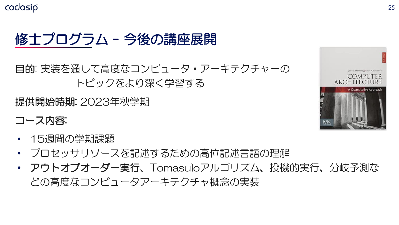

目的: 実装を通して高度なコンピュータ・アーキテクチャーの トピックをより深く学習する

提供開始時期: 2023年秋学期

- コース内容:
- 15週間の学期課題
- プロセッサリソースを記述するための高位記述言語の理解
- アウトオブオーダー実行、Tomasuloアルゴリズム、投機的実行、分岐予測な どの高度なコンピュータアーキテクチャ概念の実装

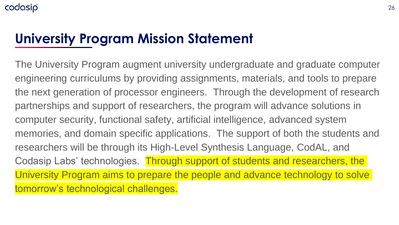### **University Program Mission Statement**

The University Program augment university undergraduate and graduate computer engineering curriculums by providing assignments, materials, and tools to prepare the next generation of processor engineers. Through the development of research partnerships and support of researchers, the program will advance solutions in computer security, functional safety, artificial intelligence, advanced system memories, and domain specific applications. The support of both the students and researchers will be through its High-Level Synthesis Language, CodAL, and Codasip Labs' technologies. Through support of students and researchers, the University Program aims to prepare the people and advance technology to solve tomorrow's technological challenges.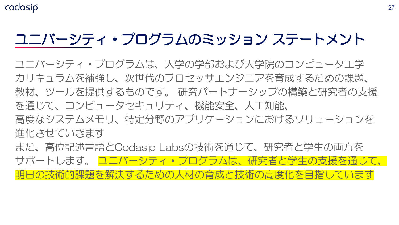# ユニバーシティ・プログラムのミッション ステートメント

ユニバーシティ・プログラムは、大学の学部および大学院のコンピュータ工学 カリキュラムを補強し、次世代のプロセッサエンジニアを育成するための課題、 教材、ツールを提供するものです。 研究パートナーシップの構築と研究者の支援 を通じて、コンピュータセキュリティ、機能安全、人工知能、 高度なシステムメモリ、特定分野のアプリケーションにおけるソリューションを 進化させていきます また、高位記述言語とCodasip Labsの技術を通じて、研究者と学生の両方を サポートします。 ユニバーシティ・プログラムは、研究者と学生の支援を通じて、 明日の技術的課題を解決するための人材の育成と技術の高度化を目指しています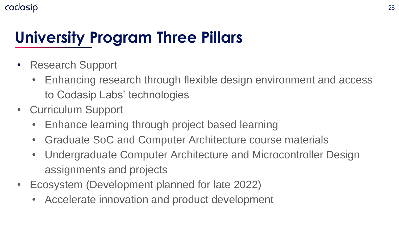# **University Program Three Pillars**

- Research Support
	- Enhancing research through flexible design environment and access to Codasip Labs' technologies
- Curriculum Support
	- Enhance learning through project based learning
	- Graduate SoC and Computer Architecture course materials
	- Undergraduate Computer Architecture and Microcontroller Design assignments and projects
- Ecosystem (Development planned for late 2022)
	- Accelerate innovation and product development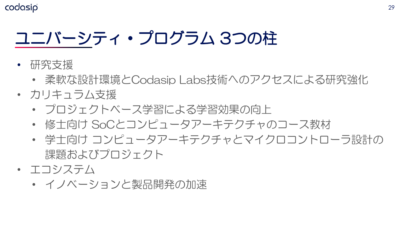# ユニバーシティ・プログラム 3つの柱

- 研究支援
	- 柔軟な設計環境とCodasip Labs技術へのアクセスによる研究強化
- カリキュラム支援
	- プロジェクトベース学習による学習効果の向上
	- 修士向け SoCとコンピュータアーキテクチャのコース教材
	- 学士向け コンピュータアーキテクチャとマイクロコントローラ設計の 課題およびプロジェクト
- エコシステム
	- イノベーションと製品開発の加速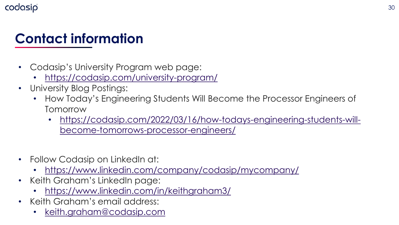### **Contact information**

- Codasip's University Program web page:
	- <https://codasip.com/university-program/>
- University Blog Postings:
	- How Today's Engineering Students Will Become the Processor Engineers of Tomorrow
		- [https://codasip.com/2022/03/16/how-todays-engineering-students-will](https://codasip.com/2022/03/16/how-todays-engineering-students-will-become-tomorrows-processor-engineers/)become-tomorrows-processor-engineers/
- Follow Codasip on LinkedIn at:
	- <https://www.linkedin.com/company/codasip/mycompany/>
- Keith Graham's LinkedIn page:
	- <https://www.linkedin.com/in/keithgraham3/>
- Keith Graham's email address:
	- [keith.graham@codasip.com](mailto:keith.graham@codasip.com)